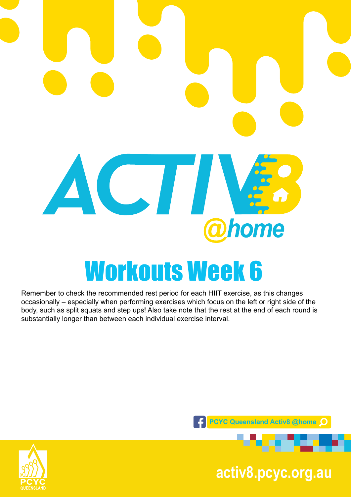

Remember to check the recommended rest period for each HIIT exercise, as this changes occasionally – especially when performing exercises which focus on the left or right side of the body, such as split squats and step ups! Also take note that the rest at the end of each round is substantially longer than between each individual exercise interval.



**pcyc.org.au activ8.pcyc.org.au**

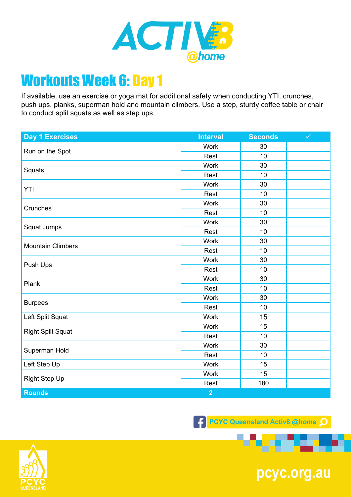

If available, use an exercise or yoga mat for additional safety when conducting YTI, crunches, push ups, planks, superman hold and mountain climbers. Use a step, sturdy coffee table or chair to conduct split squats as well as step ups.

| <b>Day 1 Exercises</b>   | <b>Interval</b> | <b>Seconds</b> | $\checkmark$ |
|--------------------------|-----------------|----------------|--------------|
| Run on the Spot          | <b>Work</b>     | 30             |              |
|                          | Rest            | 10             |              |
| Squats                   | <b>Work</b>     | 30             |              |
|                          | Rest            | 10             |              |
| <b>YTI</b>               | <b>Work</b>     | 30             |              |
|                          | Rest            | 10             |              |
| Crunches                 | <b>Work</b>     | 30             |              |
|                          | Rest            | 10             |              |
| Squat Jumps              | <b>Work</b>     | 30             |              |
|                          | Rest            | 10             |              |
|                          | <b>Work</b>     | 30             |              |
| <b>Mountain Climbers</b> | Rest            | 10             |              |
|                          | <b>Work</b>     | 30             |              |
| Push Ups                 | Rest            | 10             |              |
| Plank                    | <b>Work</b>     | 30             |              |
|                          | Rest            | 10             |              |
| <b>Burpees</b>           | <b>Work</b>     | 30             |              |
|                          | Rest            | 10             |              |
| Left Split Squat         | <b>Work</b>     | 15             |              |
| <b>Right Split Squat</b> | <b>Work</b>     | 15             |              |
|                          | Rest            | 10             |              |
| Superman Hold            | <b>Work</b>     | 30             |              |
|                          | Rest            | 10             |              |
| Left Step Up             | <b>Work</b>     | 15             |              |
| <b>Right Step Up</b>     | Work            | 15             |              |
|                          | Rest            | 180            |              |
| <b>Rounds</b>            | $\overline{2}$  |                |              |

**F** PCYC Queensland Activ8 @home Q



**pcyc.org.au**

. .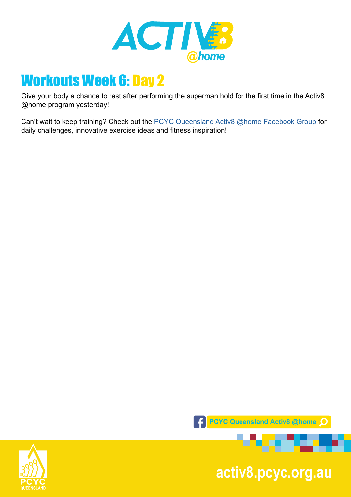

Give your body a chance to rest after performing the superman hold for the first time in the Activ8 @home program yesterday!

Can't wait to keep training? Check out the [PCYC Queensland Activ8 @home Facebook Group](https://www.facebook.com/groups/2652320985090996/) for daily challenges, innovative exercise ideas and fitness inspiration!



**pcyc.org.au activ8.pcyc.org.au**

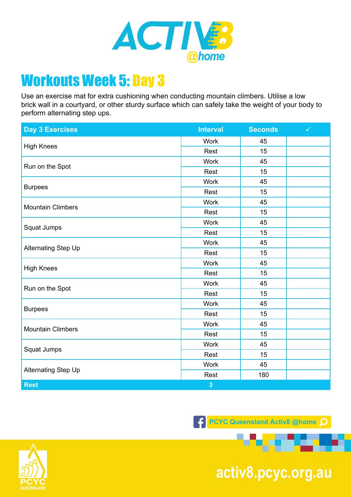

Use an exercise mat for extra cushioning when conducting mountain climbers. Utilise a low brick wall in a courtyard, or other sturdy surface which can safely take the weight of your body to perform alternating step ups.

| <b>Day 3 Exercises</b>     | <b>Interval</b>         | <b>Seconds</b> | $\checkmark$ |
|----------------------------|-------------------------|----------------|--------------|
| <b>High Knees</b>          | <b>Work</b>             | 45             |              |
|                            | Rest                    | 15             |              |
| Run on the Spot            | <b>Work</b>             | 45             |              |
|                            | Rest                    | 15             |              |
| <b>Burpees</b>             | <b>Work</b>             | 45             |              |
|                            | Rest                    | 15             |              |
| <b>Mountain Climbers</b>   | <b>Work</b>             | 45             |              |
|                            | Rest                    | 15             |              |
| Squat Jumps                | <b>Work</b>             | 45             |              |
|                            | Rest                    | 15             |              |
|                            | <b>Work</b>             | 45             |              |
| <b>Alternating Step Up</b> | Rest                    | 15             |              |
| <b>High Knees</b>          | <b>Work</b>             | 45             |              |
|                            | Rest                    | 15             |              |
| Run on the Spot            | <b>Work</b>             | 45             |              |
|                            | Rest                    | 15             |              |
| <b>Burpees</b>             | <b>Work</b>             | 45             |              |
|                            | Rest                    | 15             |              |
| <b>Mountain Climbers</b>   | <b>Work</b>             | 45             |              |
|                            | Rest                    | 15             |              |
| Squat Jumps                | <b>Work</b>             | 45             |              |
|                            | Rest                    | 15             |              |
| Alternating Step Up        | <b>Work</b>             | 45             |              |
|                            | Rest                    | 180            |              |
| <b>Rest</b>                | $\overline{\mathbf{3}}$ |                |              |

**F** PCYC Queensland Activ8 @home Q



**pcyc.org.au activ8.pcyc.org.au**

. . .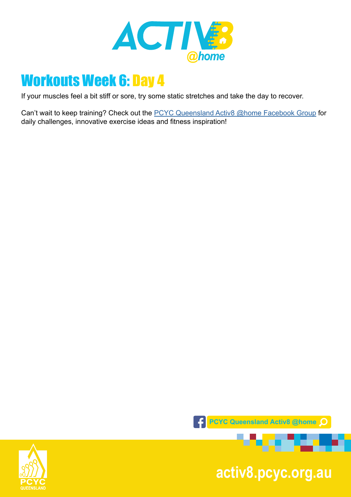

If your muscles feel a bit stiff or sore, try some static stretches and take the day to recover.

Can't wait to keep training? Check out the **PCYC Queensland Activ8 @home Facebook Group** for daily challenges, innovative exercise ideas and fitness inspiration!



**pcyc.org.au activ8.pcyc.org.au**

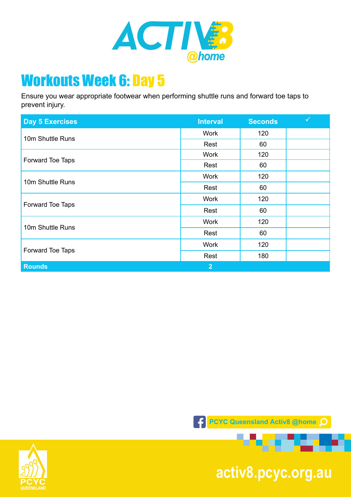

Ensure you wear appropriate footwear when performing shuttle runs and forward toe taps to prevent injury.

| <b>Day 5 Exercises</b> | <b>Interval</b> | <b>Seconds</b> | $\checkmark$ |
|------------------------|-----------------|----------------|--------------|
| 10m Shuttle Runs       | <b>Work</b>     | 120            |              |
|                        | Rest            | 60             |              |
| Forward Toe Taps       | <b>Work</b>     | 120            |              |
|                        | Rest            | 60             |              |
| 10m Shuttle Runs       | <b>Work</b>     | 120            |              |
|                        | Rest            | 60             |              |
| Forward Toe Taps       | <b>Work</b>     | 120            |              |
|                        | Rest            | 60             |              |
| 10m Shuttle Runs       | <b>Work</b>     | 120            |              |
|                        | Rest            | 60             |              |
| Forward Toe Taps       | <b>Work</b>     | 120            |              |
|                        | Rest            | 180            |              |
| <b>Rounds</b>          | 2 <sup>1</sup>  |                |              |





**pcyc.org.au activ8.pcyc.org.au**

. . . . . .

æ.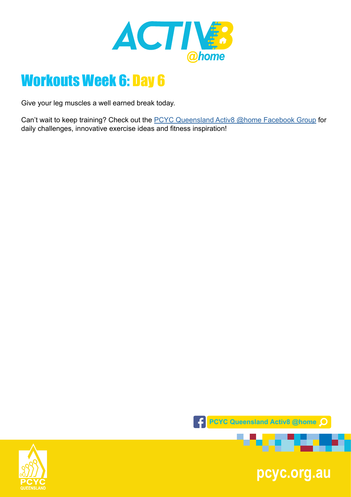

Give your leg muscles a well earned break today.

Can't wait to keep training? Check out the **PCYC Queensland Activ8 @home Facebook Group** for daily challenges, innovative exercise ideas and fitness inspiration!